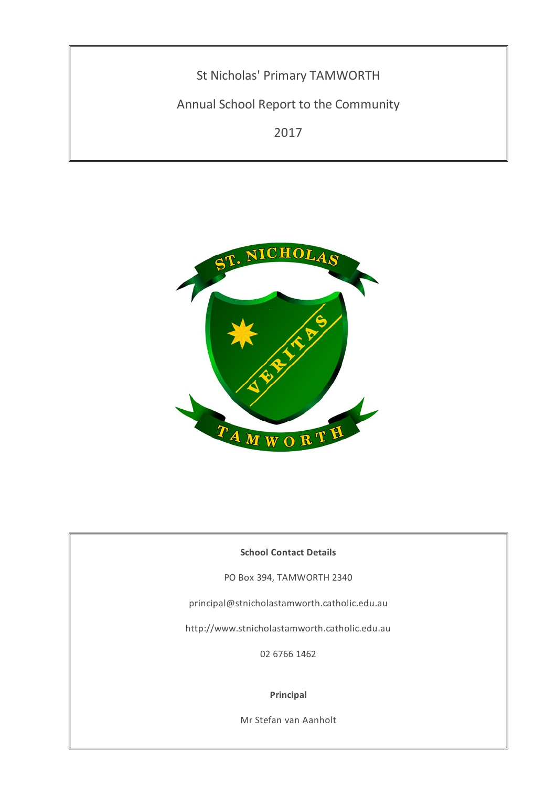St Nicholas' Primary TAMWORTH

Annual School Report to the Community

2017



## **School Contact Details**

PO Box 394, TAMWORTH 2340

principal@stnicholastamworth.catholic.edu.au

http://www.stnicholastamworth.catholic.edu.au

02 6766 1462

### **Principal**

Mr Stefan van Aanholt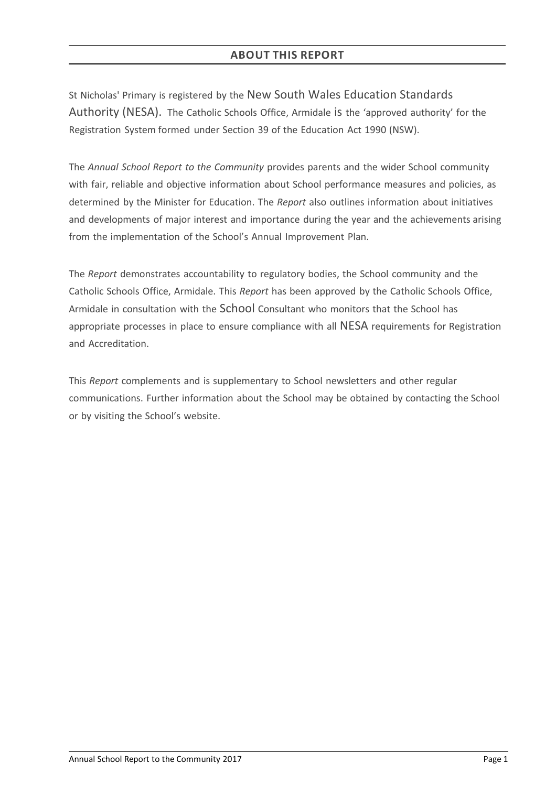# **ABOUT THIS REPORT**

St Nicholas' Primary is registered by the New South Wales Education Standards Authority (NESA). The Catholic Schools Office, Armidale is the 'approved authority' for the Registration System formed under Section 39 of the Education Act 1990 (NSW).

The *Annual School Report to the Community* provides parents and the wider School community with fair, reliable and objective information about School performance measures and policies, as determined by the Minister for Education. The *Report* also outlines information about initiatives and developments of major interest and importance during the year and the achievements arising from the implementation of the School's Annual Improvement Plan.

The *Report* demonstrates accountability to regulatory bodies, the School community and the Catholic Schools Office, Armidale. This *Report* has been approved by the Catholic Schools Office, Armidale in consultation with the School Consultant who monitors that the School has appropriate processes in place to ensure compliance with all NESA requirements for Registration and Accreditation.

This *Report* complements and is supplementary to School newsletters and other regular communications. Further information about the School may be obtained by contacting the School or by visiting the School's website.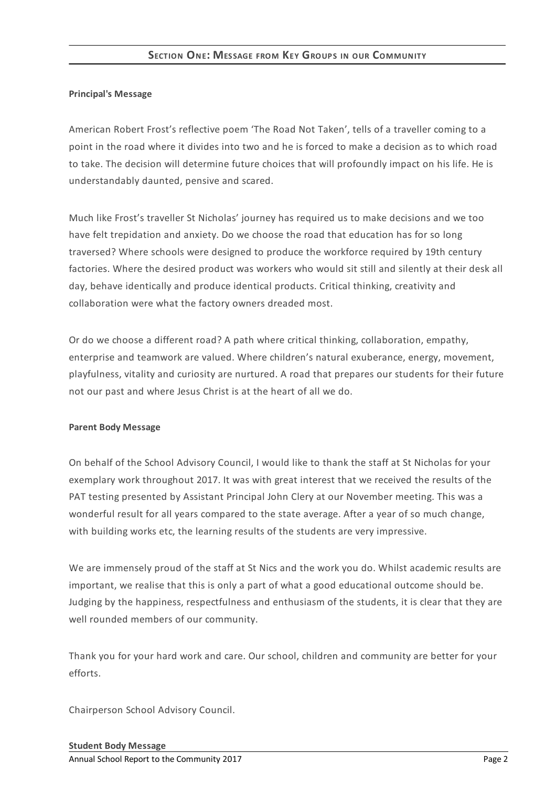## **Principal's Message**

American Robert Frost's reflective poem 'The Road Not Taken', tells of a traveller coming to a point in the road where it divides into two and he is forced to make a decision as to which road to take. The decision will determine future choices that will profoundly impact on his life. He is understandably daunted, pensive and scared.

Much like Frost's traveller St Nicholas' journey has required us to make decisions and we too have felt trepidation and anxiety. Do we choose the road that education has for so long traversed? Where schools were designed to produce the workforce required by 19th century factories. Where the desired product was workers who would sit still and silently at their desk all day, behave identically and produce identical products. Critical thinking, creativity and collaboration were what the factory owners dreaded most.

Or do we choose a different road? A path where critical thinking, collaboration, empathy, enterprise and teamwork are valued. Where children's natural exuberance, energy, movement, playfulness, vitality and curiosity are nurtured. A road that prepares our students for their future not our past and where Jesus Christ is at the heart of all we do.

## **Parent Body Message**

On behalf of the School Advisory Council, I would like to thank the staff at St Nicholas for your exemplary work throughout 2017. It was with great interest that we received the results of the PAT testing presented by Assistant Principal John Clery at our November meeting. This was a wonderful result for all years compared to the state average. After a year of so much change, with building works etc, the learning results of the students are very impressive.

We are immensely proud of the staff at St Nics and the work you do. Whilst academic results are important, we realise that this is only a part of what a good educational outcome should be. Judging by the happiness, respectfulness and enthusiasm of the students, it is clear that they are well rounded members of our community.

Thank you for your hard work and care. Our school, children and community are better for your efforts.

Chairperson School Advisory Council.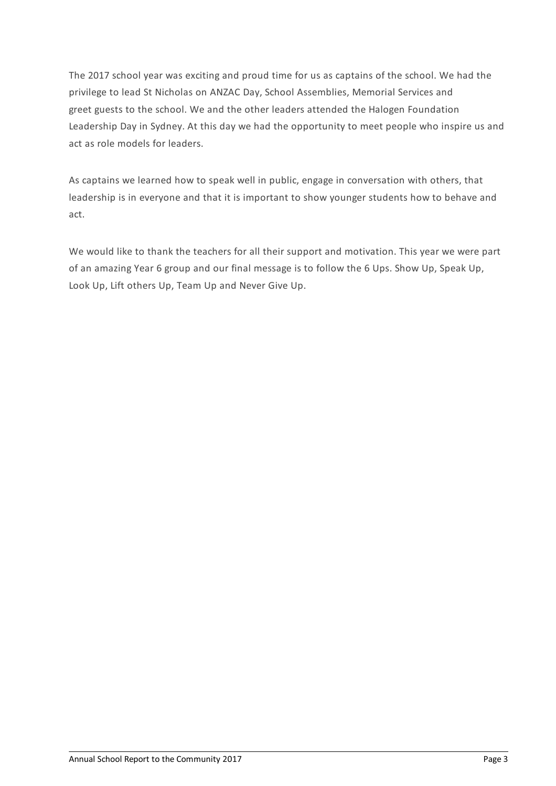The 2017 school year was exciting and proud time for us as captains of the school. We had the privilege to lead St Nicholas on ANZAC Day, School Assemblies, Memorial Services and greet guests to the school. We and the other leaders attended the Halogen Foundation Leadership Day in Sydney. At this day we had the opportunity to meet people who inspire us and act as role models for leaders.

As captains we learned how to speak well in public, engage in conversation with others, that leadership is in everyone and that it is important to show younger students how to behave and act.

We would like to thank the teachers for all their support and motivation. This year we were part of an amazing Year 6 group and our final message is to follow the 6 Ups. Show Up, Speak Up, Look Up, Lift others Up, Team Up and Never Give Up.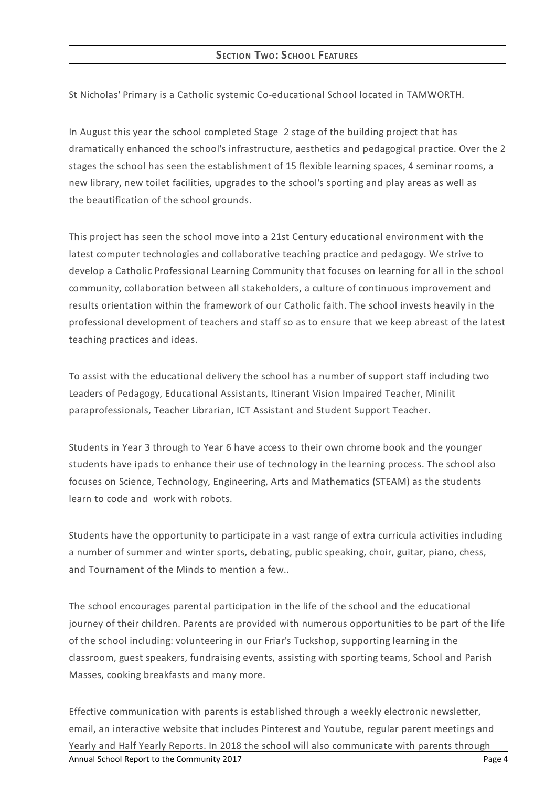St Nicholas' Primary is a Catholic systemic Co-educational School located in TAMWORTH.

In August this year the school completed Stage 2 stage of the building project that has dramatically enhanced the school's infrastructure, aesthetics and pedagogical practice. Over the 2 stages the school has seen the establishment of 15 flexible learning spaces, 4 seminar rooms, a new library, new toilet facilities, upgrades to the school's sporting and play areas as well as the beautification of the school grounds.

This project has seen the school move into a 21st Century educational environment with the latest computer technologies and collaborative teaching practice and pedagogy. We strive to develop a Catholic Professional Learning Community that focuses on learning for all in the school community, collaboration between all stakeholders, a culture of continuous improvement and results orientation within the framework of our Catholic faith. The school invests heavily in the professional development of teachers and staff so as to ensure that we keep abreast of the latest teaching practices and ideas.

To assist with the educational delivery the school has a number of support staff including two Leaders of Pedagogy, Educational Assistants, Itinerant Vision Impaired Teacher, Minilit paraprofessionals, Teacher Librarian, ICT Assistant and Student Support Teacher.

Students in Year 3 through to Year 6 have access to their own chrome book and the younger students have ipads to enhance their use of technology in the learning process. The school also focuses on Science, Technology, Engineering, Arts and Mathematics (STEAM) as the students learn to code and work with robots.

Students have the opportunity to participate in a vast range of extra curricula activities including a number of summer and winter sports, debating, public speaking, choir, guitar, piano, chess, and Tournament of the Minds to mention a few..

The school encourages parental participation in the life of the school and the educational journey of their children. Parents are provided with numerous opportunities to be part of the life of the school including: volunteering in our Friar's Tuckshop, supporting learning in the classroom, guest speakers, fundraising events, assisting with sporting teams, School and Parish Masses, cooking breakfasts and many more.

Effective communication with parents is established through a weekly electronic newsletter, email, an interactive website that includes Pinterest and Youtube, regular parent meetings and Yearly and Half Yearly Reports. In 2018 the school will also communicate with parents through Annual School Report to the Community 2017 **Page 4** Annual School Report to the Community 2017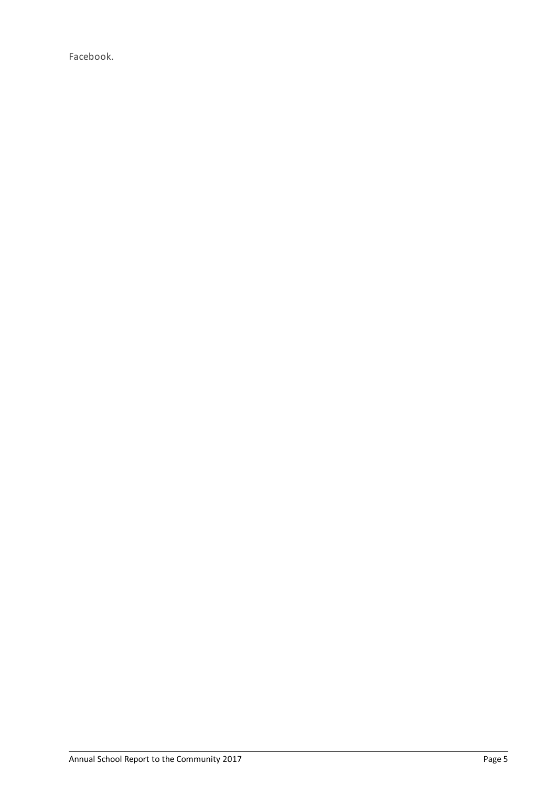Facebook.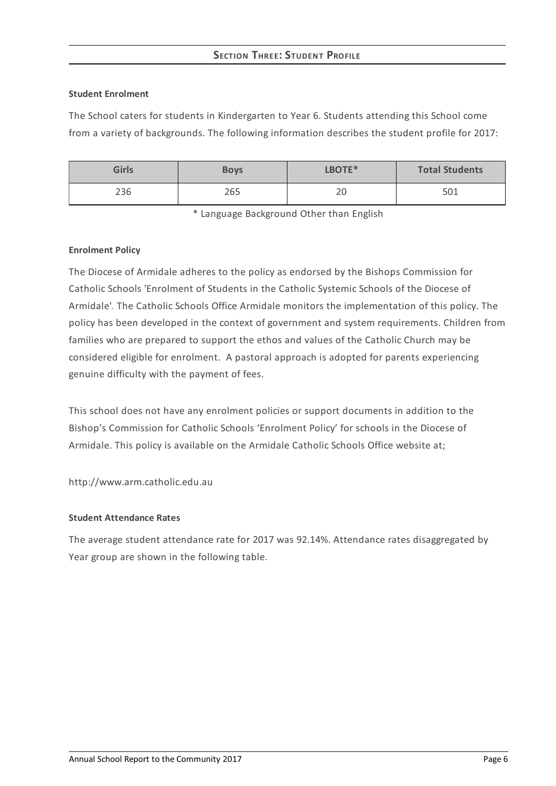# **SECTION THREE: STUDEN T PROFILE**

### **Student Enrolment**

The School caters for students in Kindergarten to Year 6. Students attending this School come from a variety of backgrounds. The following information describes the student profile for 2017:

| <b>Girls</b> | <b>Boys</b> | LBOTE*       | <b>Total Students</b> |
|--------------|-------------|--------------|-----------------------|
| 236          | 265         | $\cap$<br>∠∪ | 501                   |

\* Language Background Other than English

### **Enrolment Policy**

The Diocese of Armidale adheres to the policy as endorsed by the Bishops Commission for Catholic Schools 'Enrolment of Students in the Catholic Systemic Schools of the Diocese of Armidale'*[.](http://www.ceosyd.catholic.edu.au/About/Pages/pol-pos-papers.aspx)* The Catholic Schools Office Armidale monitors the implementation of this policy. The policy has been developed in the context of government and system requirements. Children from families who are prepared to support the ethos and values of the Catholic Church may be considered eligible for enrolment. A pastoral approach is adopted for parents experiencing genuine difficulty with the payment of fees.

This school does not have any enrolment policies or support documents in addition to the Bishop's Commission for Catholic Schools 'Enrolment Policy' for schools in the Diocese of Armidale. This policy is available on the Armidale Catholic Schools Office website at;

http://www.arm.catholic.edu.au

## **Student Attendance Rates**

The average student attendance rate for 2017 was 92.14%. Attendance rates disaggregated by Year group are shown in the following table.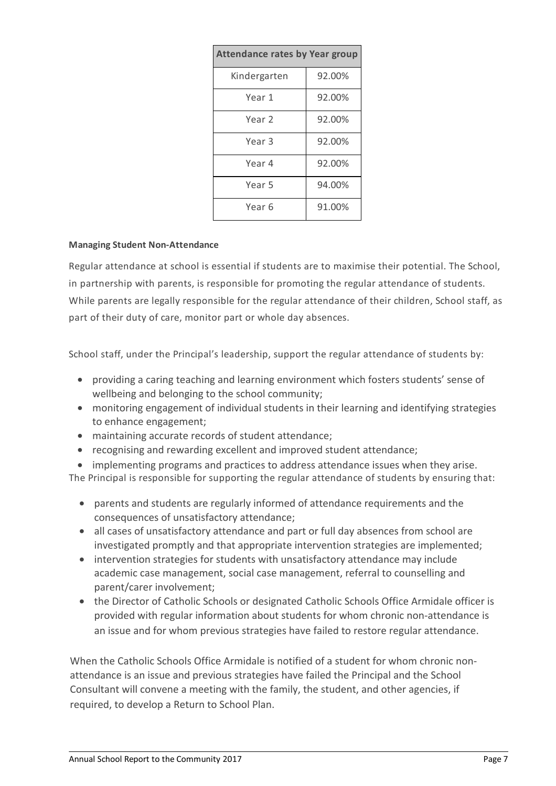| <b>Attendance rates by Year group</b> |        |  |  |
|---------------------------------------|--------|--|--|
| Kindergarten                          | 92.00% |  |  |
| Year 1                                | 92.00% |  |  |
| Year 2                                | 92.00% |  |  |
| Year 3                                | 92.00% |  |  |
| Year 4                                | 92.00% |  |  |
| Year 5                                | 94.00% |  |  |
| Year 6                                | 91.00% |  |  |

## **Managing Student Non-Attendance**

Regular attendance at school is essential if students are to maximise their potential. The School, in partnership with parents, is responsible for promoting the regular attendance of students. While parents are legally responsible for the regular attendance of their children, School staff, as part of their duty of care, monitor part or whole day absences.

School staff, under the Principal's leadership, support the regular attendance of students by:

- providing a caring teaching and learning environment which fosters students' sense of wellbeing and belonging to the school community;
- monitoring engagement of individual students in their learning and identifying strategies to enhance engagement;
- maintaining accurate records of student attendance;
- recognising and rewarding excellent and improved student attendance;
- implementing programs and practices to address attendance issues when they arise.

The Principal is responsible for supporting the regular attendance of students by ensuring that:

- parents and students are regularly informed of attendance requirements and the consequences of unsatisfactory attendance;
- all cases of unsatisfactory attendance and part or full day absences from school are investigated promptly and that appropriate intervention strategies are implemented;
- intervention strategies for students with unsatisfactory attendance may include academic case management, social case management, referral to counselling and parent/carer involvement;
- the Director of Catholic Schools or designated Catholic Schools Office Armidale officer is provided with regular information about students for whom chronic non-attendance is an issue and for whom previous strategies have failed to restore regular attendance.

When the Catholic Schools Office Armidale is notified of a student for whom chronic nonattendance is an issue and previous strategies have failed the Principal and the School Consultant will convene a meeting with the family, the student, and other agencies, if required, to develop a Return to School Plan.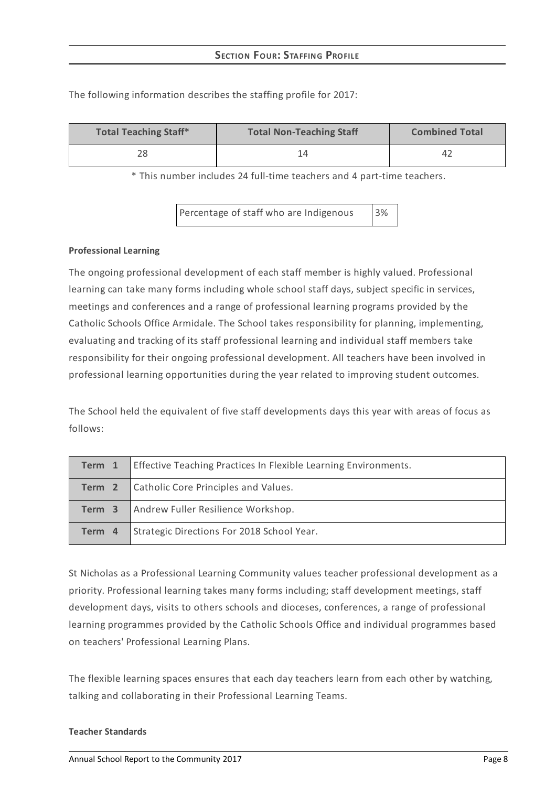| <b>Total Teaching Staff*</b> | <b>Total Non-Teaching Staff</b> | <b>Combined Total</b> |  |
|------------------------------|---------------------------------|-----------------------|--|
| 28                           |                                 | 4 <sub>2</sub>        |  |

The following information describes the staffing profile for 2017:

\* This number includes 24 full-time teachers and 4 part-time teachers.

Percentage of staff who are Indigenous 3%

### **Professional Learning**

The ongoing professional development of each staff member is highly valued. Professional learning can take many forms including whole school staff days, subject specific in services, meetings and conferences and a range of professional learning programs provided by the Catholic Schools Office Armidale. The School takes responsibility for planning, implementing, evaluating and tracking of its staff professional learning and individual staff members take responsibility for their ongoing professional development. All teachers have been involved in professional learning opportunities during the year related to improving student outcomes.

The School held the equivalent of five staff developments days this year with areas of focus as follows:

| Term 1 | <b>Effective Teaching Practices In Flexible Learning Environments.</b> |
|--------|------------------------------------------------------------------------|
|        | <b>Term 2</b> Catholic Core Principles and Values.                     |
| Term 3 | Andrew Fuller Resilience Workshop.                                     |
| Term 4 | Strategic Directions For 2018 School Year.                             |

St Nicholas as a Professional Learning Community values teacher professional development as a priority. Professional learning takes many forms including; staff development meetings, staff development days, visits to others schools and dioceses, conferences, a range of professional learning programmes provided by the Catholic Schools Office and individual programmes based on teachers' Professional Learning Plans.

The flexible learning spaces ensures that each day teachers learn from each other by watching, talking and collaborating in their Professional Learning Teams.

#### **Teacher Standards**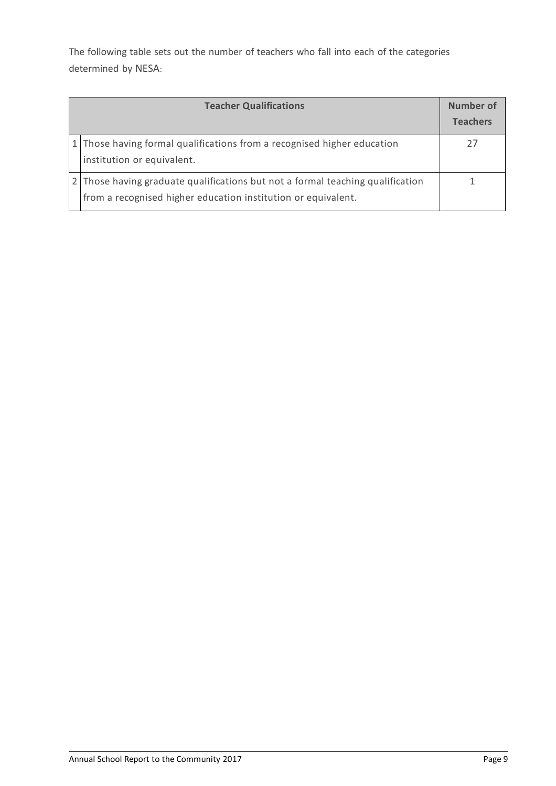The following table sets out the number of teachers who fall into each of the categories determined by NESA:

| <b>Teacher Qualifications</b>                                                                                                                 |  |
|-----------------------------------------------------------------------------------------------------------------------------------------------|--|
| 1 Those having formal qualifications from a recognised higher education<br>institution or equivalent.                                         |  |
| Those having graduate qualifications but not a formal teaching qualification<br>from a recognised higher education institution or equivalent. |  |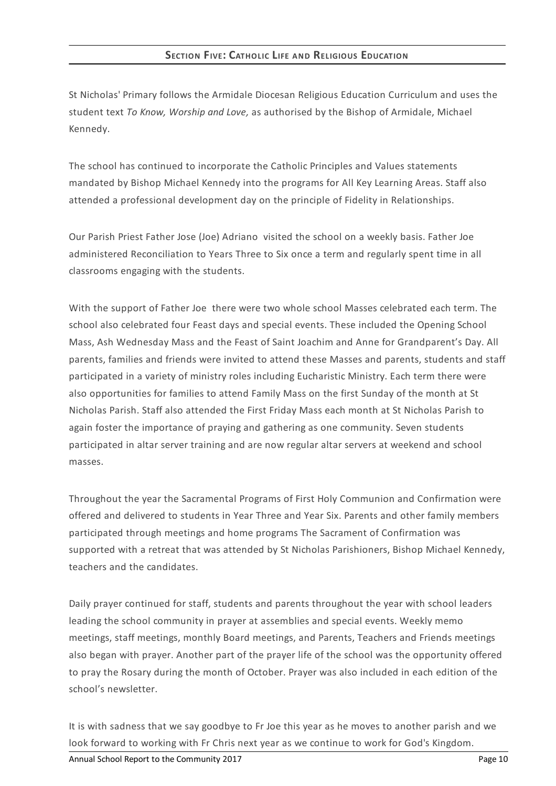St Nicholas' Primary follows the Armidale Diocesan Religious Education Curriculum and uses the student text *To Know, Worship and Love,* as authorised by the Bishop of Armidale, Michael Kennedy.

The school has continued to incorporate the Catholic Principles and Values statements mandated by Bishop Michael Kennedy into the programs for All Key Learning Areas. Staff also attended a professional development day on the principle of Fidelity in Relationships.

Our Parish Priest Father Jose (Joe) Adriano visited the school on a weekly basis. Father Joe administered Reconciliation to Years Three to Six once a term and regularly spent time in all classrooms engaging with the students.

With the support of Father Joe there were two whole school Masses celebrated each term. The school also celebrated four Feast days and special events. These included the Opening School Mass, Ash Wednesday Mass and the Feast of Saint Joachim and Anne for Grandparent's Day. All parents, families and friends were invited to attend these Masses and parents, students and staff participated in a variety of ministry roles including Eucharistic Ministry. Each term there were also opportunities for families to attend Family Mass on the first Sunday of the month at St Nicholas Parish. Staff also attended the First Friday Mass each month at St Nicholas Parish to again foster the importance of praying and gathering as one community. Seven students participated in altar server training and are now regular altar servers at weekend and school masses.

Throughout the year the Sacramental Programs of First Holy Communion and Confirmation were offered and delivered to students in Year Three and Year Six. Parents and other family members participated through meetings and home programs The Sacrament of Confirmation was supported with a retreat that was attended by St Nicholas Parishioners, Bishop Michael Kennedy, teachers and the candidates.

Daily prayer continued for staff, students and parents throughout the year with school leaders leading the school community in prayer at assemblies and special events. Weekly memo meetings, staff meetings, monthly Board meetings, and Parents, Teachers and Friends meetings also began with prayer. Another part of the prayer life of the school was the opportunity offered to pray the Rosary during the month of October. Prayer was also included in each edition of the school's newsletter.

It is with sadness that we say goodbye to Fr Joe this year as he moves to another parish and we look forward to working with Fr Chris next year as we continue to work for God's Kingdom.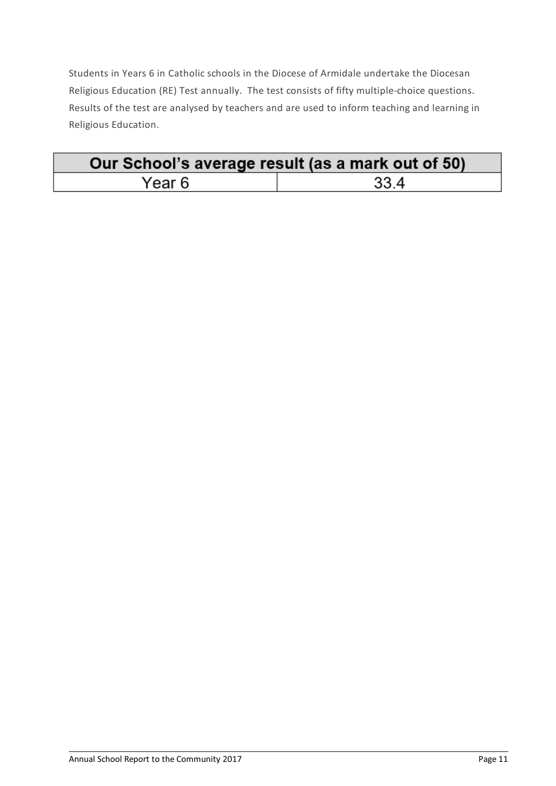Students in Years 6 in Catholic schools in the Diocese of Armidale undertake the Diocesan Religious Education (RE) Test annually. The test consists of fifty multiple-choice questions. Results of the test are analysed by teachers and are used to inform teaching and learning in Religious Education.

| Our School's average result (as a mark out of 50) |      |  |
|---------------------------------------------------|------|--|
| Year 6                                            | 33.4 |  |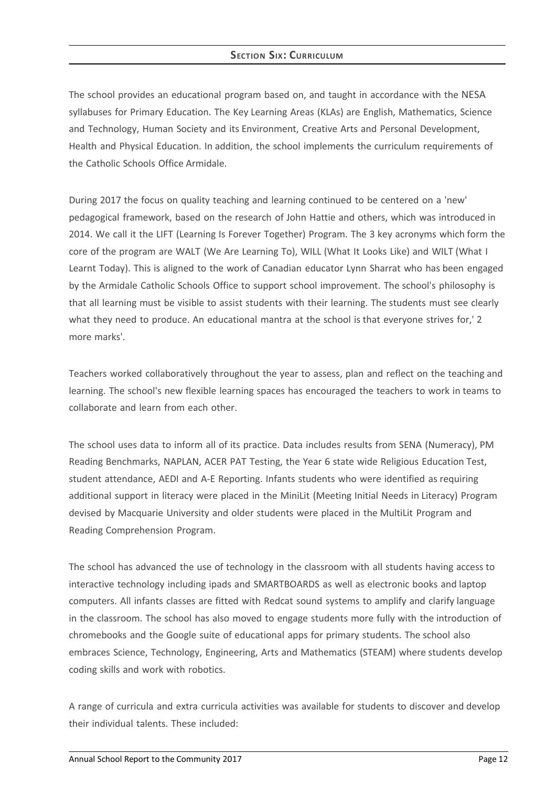## **SECTION SIX: CURRICULUM**

The school provides an educational program based on, and taught in accordance with the NESA syllabuses for Primary Education. The Key Learning Areas (KLAs) are English, Mathematics, Science and Technology, Human Society and its Environment, Creative Arts and Personal Development, Health and Physical Education. In addition, the school implements the curriculum requirements of the Catholic Schools Office Armidale.

During 2017 the focus on quality teaching and learning continued to be centered on a 'new' pedagogical framework, based on the research of John Hattie and others, which was introduced in 2014. We call it the LIFT (Learning Is Forever Together) Program. The 3 key acronyms which form the core of the program are WALT (We Are Learning To), WILL (What It Looks Like) and WILT (What I Learnt Today). This is aligned to the work of Canadian educator Lynn Sharrat who has been engaged by the Armidale Catholic Schools Office to support school improvement. The school's philosophy is that all learning must be visible to assist students with their learning. The students must see clearly what they need to produce. An educational mantra at the school is that everyone strives for,' 2 more marks'.

Teachers worked collaboratively throughout the year to assess, plan and reflect on the teaching and learning. The school's new flexible learning spaces has encouraged the teachers to work in teams to collaborate and learn from each other.

The school uses data to inform all of its practice. Data includes results from SENA (Numeracy), PM Reading Benchmarks, NAPLAN, ACER PAT Testing, the Year 6 state wide Religious Education Test, student attendance, AEDI and A-E Reporting. Infants students who were identified as requiring additional support in literacy were placed in the MiniLit (Meeting Initial Needs in Literacy) Program devised by Macquarie University and older students were placed in the MultiLit Program and Reading Comprehension Program.

The school has advanced the use of technology in the classroom with all students having access to interactive technology including ipads and SMARTBOARDS as well as electronic books and laptop computers. All infants classes are fitted with Redcat sound systems to amplify and clarify language in the classroom. The school has also moved to engage students more fully with the introduction of chromebooks and the Google suite of educational apps for primary students. The school also embraces Science, Technology, Engineering, Arts and Mathematics (STEAM) where students develop coding skills and work with robotics.

A range of curricula and extra curricula activities was available for students to discover and develop their individual talents. These included: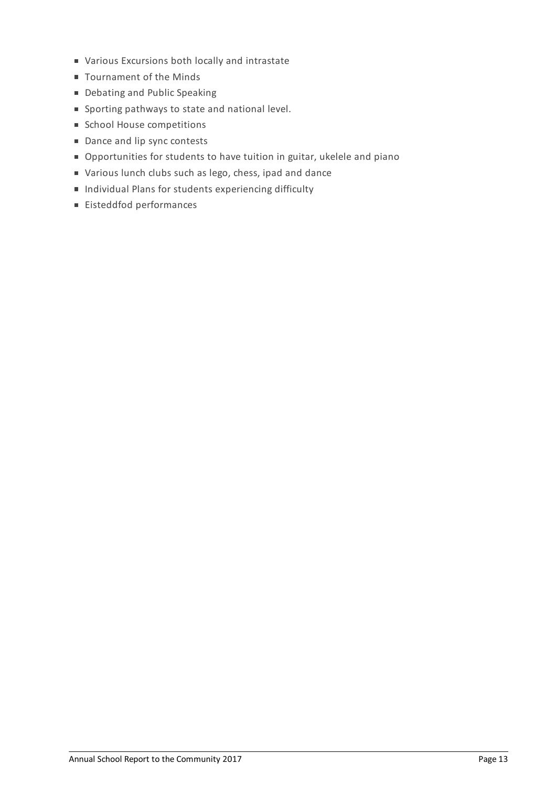- Various Excursions both locally and intrastate
- Tournament of the Minds
- Debating and Public Speaking
- Sporting pathways to state and national level.
- **School House competitions**
- Dance and lip sync contests
- Opportunities for students to have tuition in guitar, ukelele and piano
- Various lunch clubs such as lego, chess, ipad and dance
- **Individual Plans for students experiencing difficulty**
- Eisteddfod performances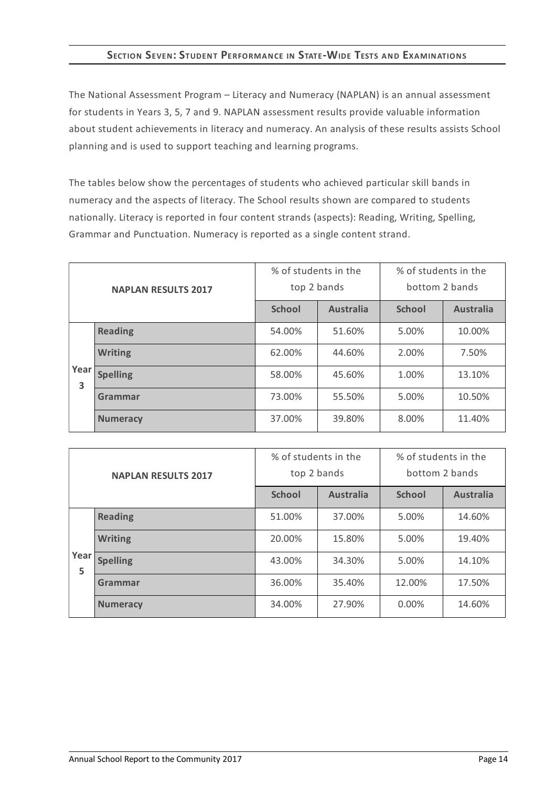# **SECTION SEVEN:STUDENT PERFORMANCE IN STATE-WIDE TESTS AND EXAMINATIONS**

The National Assessment Program – Literacy and Numeracy (NAPLAN) is an annual assessment for students in Years 3, 5, 7 and 9. NAPLAN assessment results provide valuable information about student achievements in literacy and numeracy. An analysis of these results assists School planning and is used to support teaching and learning programs.

The tables below show the percentages of students who achieved particular skill bands in numeracy and the aspects of literacy. The School results shown are compared to students nationally. Literacy is reported in four content strands (aspects): Reading, Writing, Spelling, Grammar and Punctuation. Numeracy is reported as a single content strand.

| <b>NAPLAN RESULTS 2017</b> |                 | % of students in the<br>top 2 bands |                  | % of students in the<br>bottom 2 bands |                  |
|----------------------------|-----------------|-------------------------------------|------------------|----------------------------------------|------------------|
|                            |                 | <b>School</b>                       | <b>Australia</b> | <b>School</b>                          | <b>Australia</b> |
|                            | <b>Reading</b>  | 54.00%                              | 51.60%           | 5.00%                                  | 10.00%           |
|                            | <b>Writing</b>  | 62.00%                              | 44.60%           | 2.00%                                  | 7.50%            |
| Year<br>3                  | <b>Spelling</b> | 58.00%                              | 45.60%           | 1.00%                                  | 13.10%           |
|                            | Grammar         | 73.00%                              | 55.50%           | 5.00%                                  | 10.50%           |
|                            | <b>Numeracy</b> | 37.00%                              | 39.80%           | 8.00%                                  | 11.40%           |

| <b>NAPLAN RESULTS 2017</b> |                 | % of students in the<br>top 2 bands |                  | % of students in the<br>bottom 2 bands |                  |
|----------------------------|-----------------|-------------------------------------|------------------|----------------------------------------|------------------|
|                            |                 | <b>School</b>                       | <b>Australia</b> | <b>School</b>                          | <b>Australia</b> |
|                            | <b>Reading</b>  | 51.00%                              | 37.00%           | 5.00%                                  | 14.60%           |
|                            | <b>Writing</b>  | 20.00%                              | 15.80%           | 5.00%                                  | 19.40%           |
| Year<br>5                  | <b>Spelling</b> | 43.00%                              | 34.30%           | 5.00%                                  | 14.10%           |
|                            | Grammar         | 36.00%                              | 35.40%           | 12.00%                                 | 17.50%           |
|                            | <b>Numeracy</b> | 34.00%                              | 27.90%           | 0.00%                                  | 14.60%           |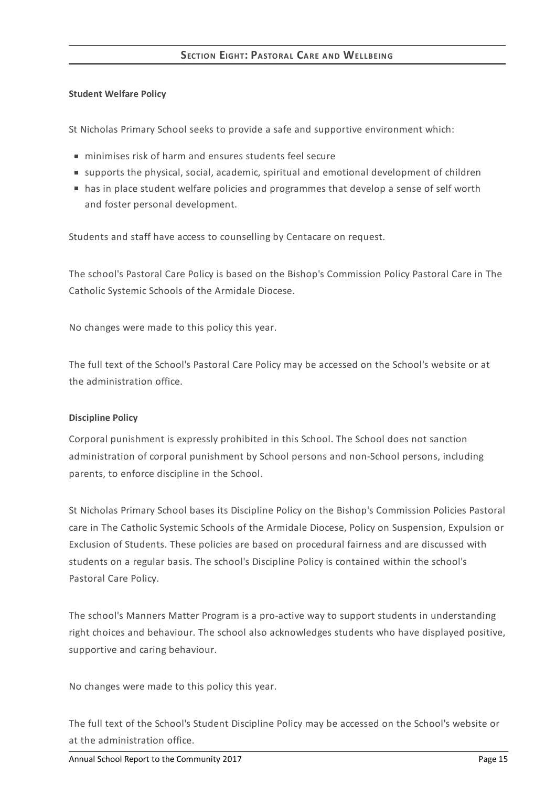### **Student Welfare Policy**

St Nicholas Primary School seeks to provide a safe and supportive environment which:

- minimises risk of harm and ensures students feel secure
- supports the physical, social, academic, spiritual and emotional development of children
- has in place student welfare policies and programmes that develop a sense of self worth and foster personal development.

Students and staff have access to counselling by Centacare on request.

The school's Pastoral Care Policy is based on the Bishop's Commission Policy Pastoral Care in The Catholic Systemic Schools of the Armidale Diocese.

No changes were made to this policy this year.

The full text of the School's Pastoral Care Policy may be accessed on the School's website or at the administration office.

## **Discipline Policy**

Corporal punishment is expressly prohibited in this School. The School does not sanction administration of corporal punishment by School persons and non-School persons, including parents, to enforce discipline in the School.

St Nicholas Primary School bases its Discipline Policy on the Bishop's Commission Policies Pastoral care in The Catholic Systemic Schools of the Armidale Diocese, Policy on Suspension, Expulsion or Exclusion of Students. These policies are based on procedural fairness and are discussed with students on a regular basis. The school's Discipline Policy is contained within the school's Pastoral Care Policy.

The school's Manners Matter Program is a pro-active way to support students in understanding right choices and behaviour. The school also acknowledges students who have displayed positive, supportive and caring behaviour.

No changes were made to this policy this year.

The full text of the School's Student Discipline Policy may be accessed on the School's website or at the administration office.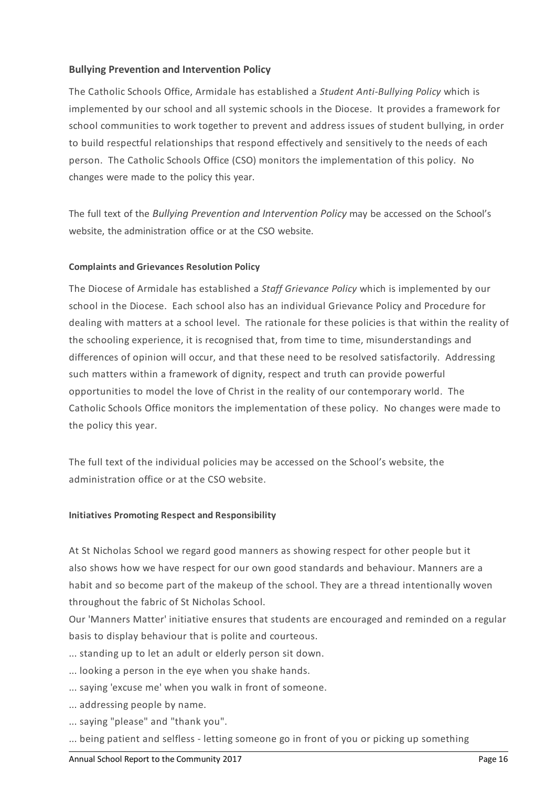## **Bullying Prevention and Intervention Policy**

The Catholic Schools Office, Armidale has established a *Student Anti-Bullying Policy* which is implemented by our school and all systemic schools in the Diocese. It provides a framework for school communities to work together to prevent and address issues of student bullying, in order to build respectful relationships that respond effectively and sensitively to the needs of each person. The Catholic Schools Office (CSO) monitors the implementation of this policy. No changes were made to the policy this year.

The full text of the *Bullying Prevention and Intervention Policy* may be accessed on the School's website, the administration office or at the CSO website.

## **Complaints and Grievances Resolution Policy**

The Diocese of Armidale has established a *Staff Grievance Policy* which is implemented by our school in the Diocese. Each school also has an individual Grievance Policy and Procedure for dealing with matters at a school level. The rationale for these policies is that within the reality of the schooling experience, it is recognised that, from time to time, misunderstandings and differences of opinion will occur, and that these need to be resolved satisfactorily. Addressing such matters within a framework of dignity, respect and truth can provide powerful opportunities to model the love of Christ in the reality of our contemporary world. The Catholic Schools Office monitors the implementation of these policy. No changes were made to the policy this year.

The full text of the individual policies may be accessed on the School's website, the administration office or at the CSO website.

## **Initiatives Promoting Respect and Responsibility**

At St Nicholas School we regard good manners as showing respect for other people but it also shows how we have respect for our own good standards and behaviour. Manners are a habit and so become part of the makeup of the school. They are a thread intentionally woven throughout the fabric of St Nicholas School.

Our 'Manners Matter' initiative ensures that students are encouraged and reminded on a regular basis to display behaviour that is polite and courteous.

- ... standing up to let an adult or elderly person sit down.
- ... looking a person in the eye when you shake hands.
- ... saying 'excuse me' when you walk in front of someone.
- ... addressing people by name.
- ... saying "please" and "thank you".
- ... being patient and selfless letting someone go in front of you or picking up something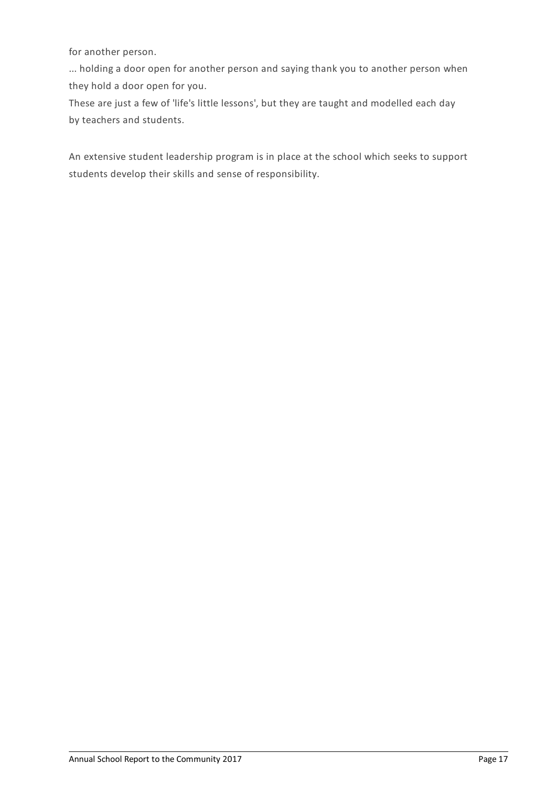for another person.

... holding a door open for another person and saying thank you to another person when they hold a door open for you.

These are just a few of 'life's little lessons', but they are taught and modelled each day by teachers and students.

An extensive student leadership program is in place at the school which seeks to support students develop their skills and sense of responsibility.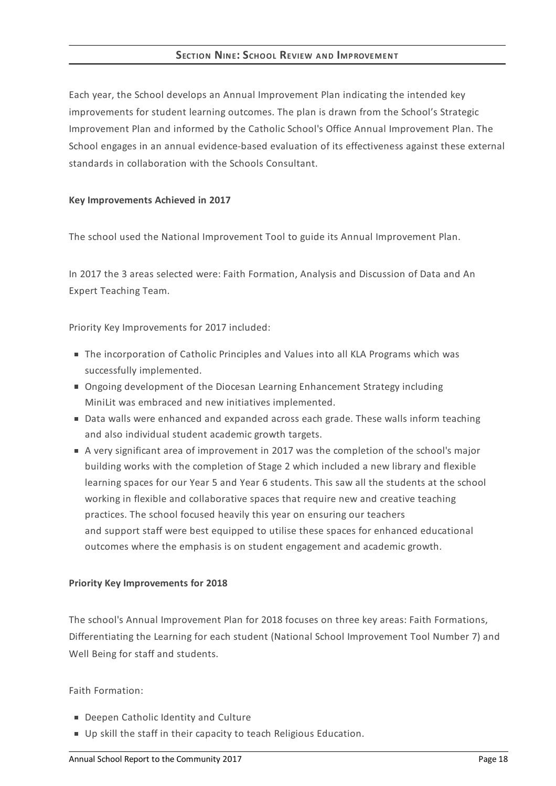## **SECTION NINE:SCHOOL REVIEW AND IMPROVEMENT**

Each year, the School develops an Annual Improvement Plan indicating the intended key improvements for student learning outcomes. The plan is drawn from the School's Strategic Improvement Plan and informed by the Catholic School's Office Annual Improvement Plan. The School engages in an annual evidence-based evaluation of its effectiveness against these external standards in collaboration with the Schools Consultant.

### **Key Improvements Achieved in 2017**

The school used the National Improvement Tool to guide its Annual Improvement Plan.

In 2017 the 3 areas selected were: Faith Formation, Analysis and Discussion of Data and An Expert Teaching Team.

Priority Key Improvements for 2017 included:

- The incorporation of Catholic Principles and Values into all KLA Programs which was successfully implemented.
- Ongoing development of the Diocesan Learning Enhancement Strategy including MiniLit was embraced and new initiatives implemented.
- Data walls were enhanced and expanded across each grade. These walls inform teaching and also individual student academic growth targets.
- A very significant area of improvement in 2017 was the completion of the school's major building works with the completion of Stage 2 which included a new library and flexible learning spaces for our Year 5 and Year 6 students. This saw all the students at the school working in flexible and collaborative spaces that require new and creative teaching practices. The school focused heavily this year on ensuring our teachers and support staff were best equipped to utilise these spaces for enhanced educational outcomes where the emphasis is on student engagement and academic growth.

## **Priority Key Improvements for 2018**

The school's Annual Improvement Plan for 2018 focuses on three key areas: Faith Formations, Differentiating the Learning for each student (National School Improvement Tool Number 7) and Well Being for staff and students.

## Faith Formation:

- Deepen Catholic Identity and Culture
- Up skill the staff in their capacity to teach Religious Education.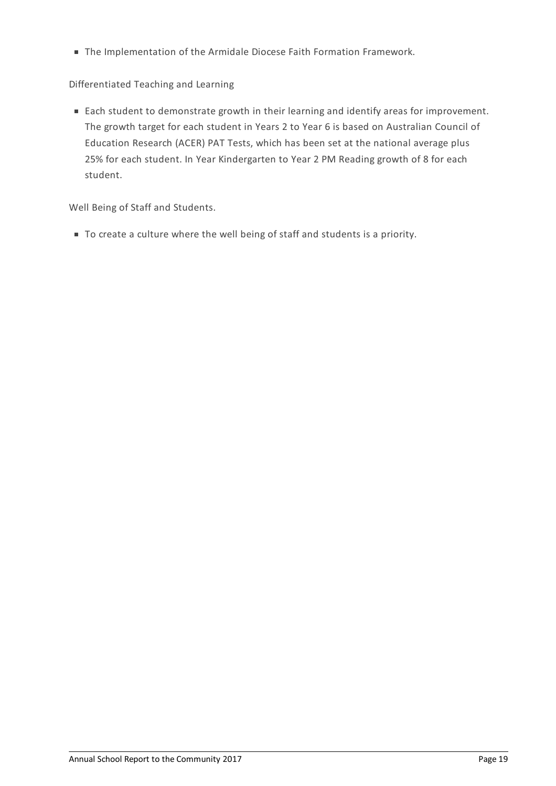The Implementation of the Armidale Diocese Faith Formation Framework.

# Differentiated Teaching and Learning

■ Each student to demonstrate growth in their learning and identify areas for improvement. The growth target for each student in Years 2 to Year 6 is based on Australian Council of Education Research (ACER) PAT Tests, which has been set at the national average plus 25% for each student. In Year Kindergarten to Year 2 PM Reading growth of 8 for each student.

Well Being of Staff and Students.

To create a culture where the well being of staff and students is a priority.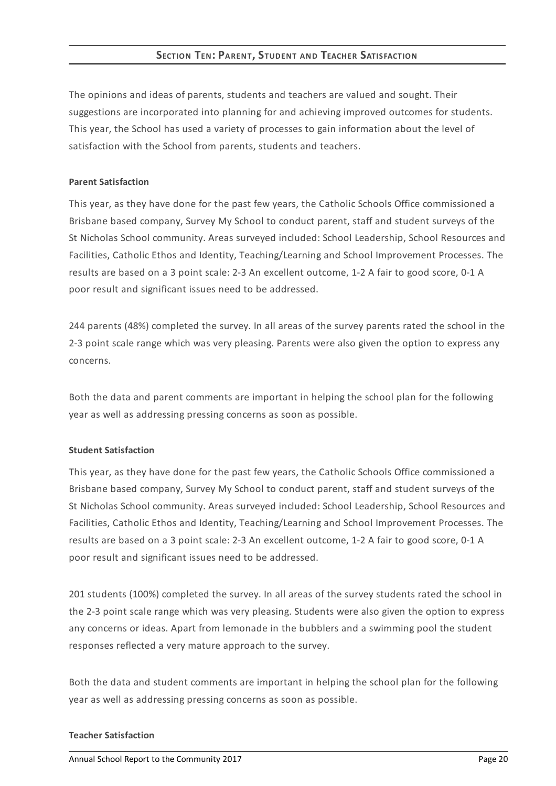## **SECTION TEN: PARENT, STUDENT AND TEACHER SATISFACTION**

The opinions and ideas of parents, students and teachers are valued and sought. Their suggestions are incorporated into planning for and achieving improved outcomes for students. This year, the School has used a variety of processes to gain information about the level of satisfaction with the School from parents, students and teachers.

### **Parent Satisfaction**

This year, as they have done for the past few years, the Catholic Schools Office commissioned a Brisbane based company, Survey My School to conduct parent, staff and student surveys of the St Nicholas School community. Areas surveyed included: School Leadership, School Resources and Facilities, Catholic Ethos and Identity, Teaching/Learning and School Improvement Processes. The results are based on a 3 point scale: 2-3 An excellent outcome, 1-2 A fair to good score, 0-1 A poor result and significant issues need to be addressed.

244 parents (48%) completed the survey. In all areas of the survey parents rated the school in the 2-3 point scale range which was very pleasing. Parents were also given the option to express any concerns.

Both the data and parent comments are important in helping the school plan for the following year as well as addressing pressing concerns as soon as possible.

## **Student Satisfaction**

This year, as they have done for the past few years, the Catholic Schools Office commissioned a Brisbane based company, Survey My School to conduct parent, staff and student surveys of the St Nicholas School community. Areas surveyed included: School Leadership, School Resources and Facilities, Catholic Ethos and Identity, Teaching/Learning and School Improvement Processes. The results are based on a 3 point scale: 2-3 An excellent outcome, 1-2 A fair to good score, 0-1 A poor result and significant issues need to be addressed.

201 students (100%) completed the survey. In all areas of the survey students rated the school in the 2-3 point scale range which was very pleasing. Students were also given the option to express any concerns or ideas. Apart from lemonade in the bubblers and a swimming pool the student responses reflected a very mature approach to the survey.

Both the data and student comments are important in helping the school plan for the following year as well as addressing pressing concerns as soon as possible.

#### **Teacher Satisfaction**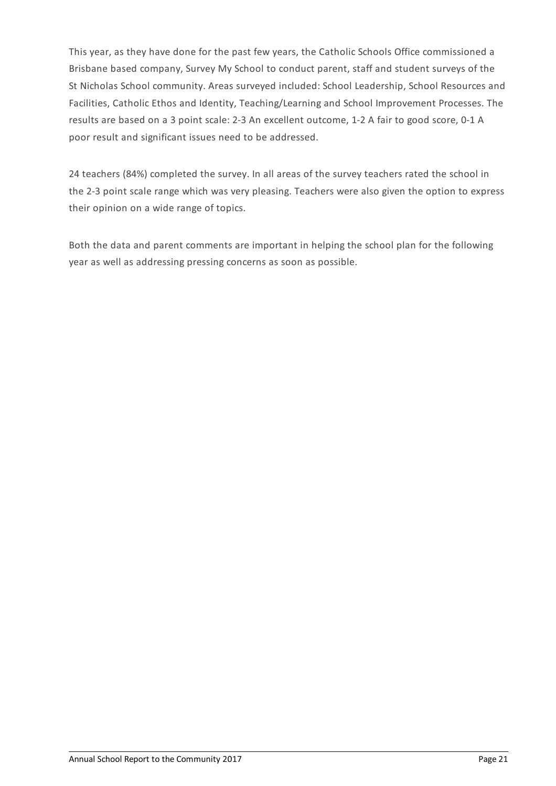This year, as they have done for the past few years, the Catholic Schools Office commissioned a Brisbane based company, Survey My School to conduct parent, staff and student surveys of the St Nicholas School community. Areas surveyed included: School Leadership, School Resources and Facilities, Catholic Ethos and Identity, Teaching/Learning and School Improvement Processes. The results are based on a 3 point scale: 2-3 An excellent outcome, 1-2 A fair to good score, 0-1 A poor result and significant issues need to be addressed.

24 teachers (84%) completed the survey. In all areas of the survey teachers rated the school in the 2-3 point scale range which was very pleasing. Teachers were also given the option to express their opinion on a wide range of topics.

Both the data and parent comments are important in helping the school plan for the following year as well as addressing pressing concerns as soon as possible.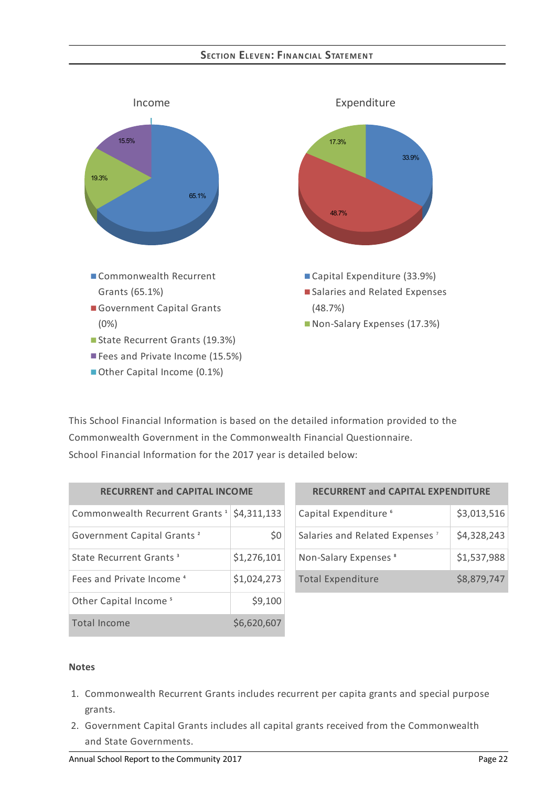## **SECTION ELEVEN: FIN AN CIAL STATEMEN T**



This School Financial Information is based on the detailed information provided to the Commonwealth Government in the Commonwealth Financial Questionnaire. School Financial Information for the 2017 year is detailed below:

| <b>RECURRENT and CAPITAL INCOME</b>        |             |  |  |
|--------------------------------------------|-------------|--|--|
| Commonwealth Recurrent Grants <sup>1</sup> | \$4,311,133 |  |  |
| Government Capital Grants <sup>2</sup>     | \$0         |  |  |
| State Recurrent Grants <sup>3</sup>        | \$1,276,101 |  |  |
| Fees and Private Income <sup>4</sup>       | \$1,024,273 |  |  |
| Other Capital Income <sup>5</sup>          | \$9,100     |  |  |
| Total Income                               | \$6,620,607 |  |  |

| <b>RECURRENT and CAPITAL EXPENDITURE</b>   |             |  |  |
|--------------------------------------------|-------------|--|--|
| Capital Expenditure <sup>6</sup>           | \$3,013,516 |  |  |
| Salaries and Related Expenses <sup>7</sup> | \$4,328,243 |  |  |
| Non-Salary Expenses <sup>8</sup>           | \$1,537,988 |  |  |
| <b>Total Expenditure</b>                   | \$8,879,747 |  |  |

#### **Notes**

- 1. Commonwealth Recurrent Grants includes recurrent per capita grants and special purpose grants.
- 2. Government Capital Grants includes all capital grants received from the Commonwealth and State Governments.